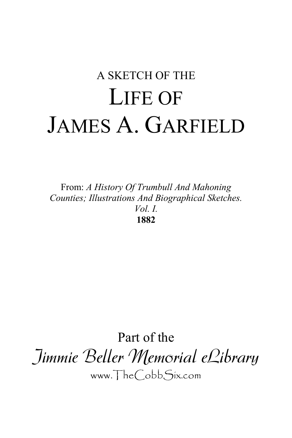# A SKETCH OF THE LIFE OF JAMES A. GARFIELD

From: *A History Of Trumbull And Mahoning Counties; Illustrations And Biographical Sketches. Vol. I.* **1882**

Part of the Jimmie Beller Memorial eLibrary www.TheCobbSix.com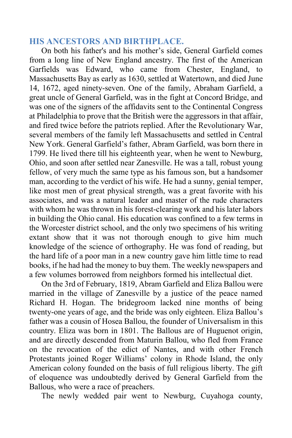# **HIS ANCESTORS AND BIRTHPLACE.**

On both his father's and his mother's side, General Garfield comes from a long line of New England ancestry. The first of the American Garfields was Edward, who came from Chester, England, to Massachusetts Bay as early as 1630, settled at Watertown, and died June 14, 1672, aged ninety-seven. One of the family, Abraham Garfield, a great uncle of General Garfield, was in the fight at Concord Bridge, and was one of the signers of the affidavits sent to the Continental Congress at Philadelphia to prove that the British were the aggressors in that affair, and fired twice before the patriots replied. After the Revolutionary War, several members of the family left Massachusetts and settled in Central New York. General Garfield's father, Abram Garfield, was born there in 1799. He lived there till his eighteenth year, when he went to Newburg, Ohio, and soon after settled near Zanesville. He was a tall, robust young fellow, of very much the same type as his famous son, but a handsomer man, according to the verdict of his wife. He had a sunny, genial temper, like most men of great physical strength, was a great favorite with his associates, and was a natural leader and master of the rude characters with whom he was thrown in his forest-clearing work and his later labors in building the Ohio canal. His education was confined to a few terms in the Worcester district school, and the only two specimens of his writing extant show that it was not thorough enough to give him much knowledge of the science of orthography. He was fond of reading, but the hard life of a poor man in a new country gave him little time to read books, if he had had the money to buy them. The weekly newspapers and a few volumes borrowed from neighbors formed his intellectual diet.

On the 3rd of February, 1819, Abram Garfield and Eliza Ballou were married in the village of Zanesville by a justice of the peace named Richard H. Hogan. The bridegroom lacked nine months of being twenty-one years of age, and the bride was only eighteen. Eliza Ballou's father was a cousin of Hosea Ballou, the founder of Universalism in this country. Eliza was born in 1801. The Ballous are of Huguenot origin, and are directly descended from Maturin Ballou, who fled from France on the revocation of the edict of Nantes, and with other French Protestants joined Roger Williams' colony in Rhode Island, the only American colony founded on the basis of full religious liberty. The gift of eloquence was undoubtedly derived by General Garfield from the Ballous, who were a race of preachers.

The newly wedded pair went to Newburg, Cuyahoga county,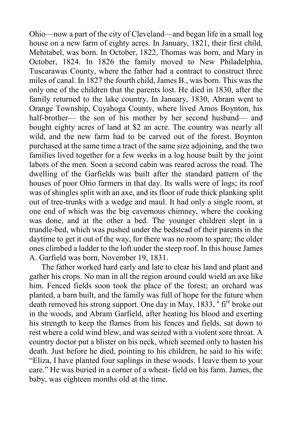Ohio—now a part of the city of Cleveland—and began life in a small log house on a new farm of eighty acres. In January, 1821, their first child, Mehitabel, was born. In October, 1822, Thomas was born, and Mary in October, 1824. In 1826 the family moved to New Philadelphia, Tuscarawas County, where the father had a contract to construct three miles of canal. In 1827 the fourth child, James B., was born. This was the only one of the children that the parents lost. He died in 1830, after the family returned to the lake country. In January, 1830, Abram went to Orange Township, Cuyahoga County, where lived Amos Boynton, his half-brother— the son of his mother by her second husband— and bought eighty acres of land at \$2 an acre. The country was nearly all wild, and the new farm had to be carved out of the forest. Boynton purchased at the same time a tract of the same size adjoining, and the two families lived together for a few weeks in a log house built by the joint labors of the men. Soon a second cabin was reared across the road. The dwelling of the Garfields was built after the standard pattern of the houses of poor Ohio farmers in that day. Its walls were of logs; its roof was of shingles split with an axe, and its floor of rude thick planking split out of tree-trunks with a wedge and maul. It had only a single room, at one end of which was the big cavernous chimney, where the cooking was done, and at the other a bed. The younger children slept in a trundle-bed, which was pushed under the bedstead of their parents in the daytime to get it out of the way, for there was no room to spare; the older ones climbed a ladder to the loft under the steep roof. In this house James A. Garfield was born, November 19, 1831.

The father worked hard early and late to clear his land and plant and gather his crops. No man in all the region around could wield an axe like him. Fenced fields soon took the place of the forest; an orchard was planted, a barn built, and the family was full of hope for the future when death removed his strong support. One day in May, 1833, <sup>a</sup> fi<sup>re</sup> broke out in the woods, and Abram Garfield, after heating his blood and exerting his strength to keep the flames from his fences and fields, sat down to rest where a cold wind blew, and was seized with a violent sore throat. A country doctor put a blister on his neck, which seemed only to hasten his death. Just before he died, pointing to his children, he said to his wife: "Eliza, I have planted four saplings in these woods. I leave them to your care." He was buried in a corner of a wheat- field on his farm. James, the baby, was eighteen months old at the time.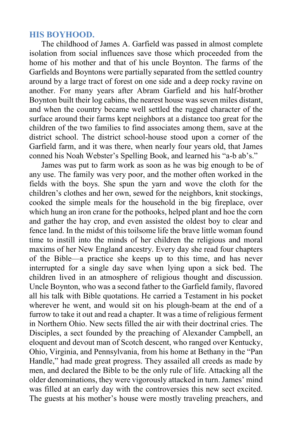#### **HIS BOYHOOD.**

The childhood of James A. Garfield was passed in almost complete isolation from social influences save those which proceeded from the home of his mother and that of his uncle Boynton. The farms of the Garfields and Boyntons were partially separated from the settled country around by a large tract of forest on one side and a deep rocky ravine on another. For many years after Abram Garfield and his half-brother Boynton built their log cabins, the nearest house was seven miles distant, and when the country became well settled the rugged character of the surface around their farms kept neighbors at a distance too great for the children of the two families to find associates among them, save at the district school. The district school-house stood upon a corner of the Garfield farm, and it was there, when nearly four years old, that James conned his Noah Webster's Spelling Book, and learned his "a-b ab's."

James was put to farm work as soon as he was big enough to be of any use. The family was very poor, and the mother often worked in the fields with the boys. She spun the yarn and wove the cloth for the children's clothes and her own, sewed for the neighbors, knit stockings, cooked the simple meals for the household in the big fireplace, over which hung an iron crane for the pothooks, helped plant and hoe the corn and gather the hay crop, and even assisted the oldest boy to clear and fence land. In the midst of this toilsome life the brave little woman found time to instill into the minds of her children the religious and moral maxims of her New England ancestry. Every day she read four chapters of the Bible—a practice she keeps up to this time, and has never interrupted for a single day save when lying upon a sick bed. The children lived in an atmosphere of religious thought and discussion. Uncle Boynton, who was a second father to the Garfield family, flavored all his talk with Bible quotations. He carried a Testament in his pocket wherever he went, and would sit on his plough-beam at the end of a furrow to take it out and read a chapter. It was a time of religious ferment in Northern Ohio. New sects filled the air with their doctrinal cries. The Disciples, a sect founded by the preaching of Alexander Campbell, an eloquent and devout man of Scotch descent, who ranged over Kentucky, Ohio, Virginia, and Pennsylvania, from his home at Bethany in the "Pan Handle," had made great progress. They assailed all creeds as made by men, and declared the Bible to be the only rule of life. Attacking all the older denominations, they were vigorously attacked in turn. James' mind was filled at an early day with the controversies this new sect excited. The guests at his mother's house were mostly traveling preachers, and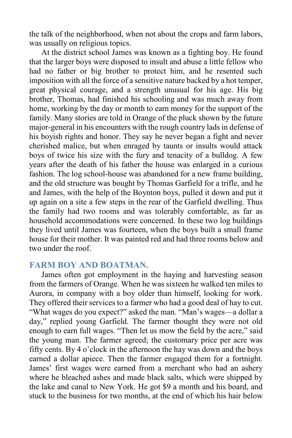the talk of the neighborhood, when not about the crops and farm labors, was usually on religious topics.

At the district school James was known as a fighting boy. He found that the larger boys were disposed to insult and abuse a little fellow who had no father or big brother to protect him, and he resented such imposition with all the force of a sensitive nature backed by a hot temper, great physical courage, and a strength unusual for his age. His big brother, Thomas, had finished his schooling and was much away from home, working by the day or month to earn money for the support of the family. Many stories are told in Orange of the pluck shown by the future major-general in his encounters with the rough country lads in defense of his boyish rights and honor. They say he never began a fight and never cherished malice, but when enraged by taunts or insults would attack boys of twice his size with the fury and tenacity of a bulldog. A few years after the death of his father the house was enlarged in a curious fashion. The log school-house was abandoned for a new frame building, and the old structure was bought by Thomas Garfield for a trifle, and he and James, with the help of the Boynton boys, pulled it down and put it up again on a site a few steps in the rear of the Garfield dwelling. Thus the family had two rooms and was tolerably comfortable, as far as household accommodations were concerned. In these two log buildings they lived until James was fourteen, when the boys built a small frame house for their mother. It was painted red and had three rooms below and two under the roof.

#### **FARM BOY AND BOATMAN.**

James often got employment in the haying and harvesting season from the farmers of Orange. When he was sixteen he walked ten miles to Aurora, in company with a boy older than himself, looking for work. They offered their services to a farmer who had a good deal of hay to cut. "What wages do you expect?" asked the man. "Man's wages—a dollar a day," replied young Garfield. The farmer thought they were not old enough to earn full wages. "Then let us mow the field by the acre," said the young man. The farmer agreed; the customary price per acre was fifty cents. By 4 o'clock in the afternoon the hay was down and the boys earned a dollar apiece. Then the farmer engaged them for a fortnight. James' first wages were earned from a merchant who had an ashery where he bleached ashes and made black salts, which were shipped by the lake and canal to New York. He got \$9 a month and his board, and stuck to the business for two months, at the end of which his hair below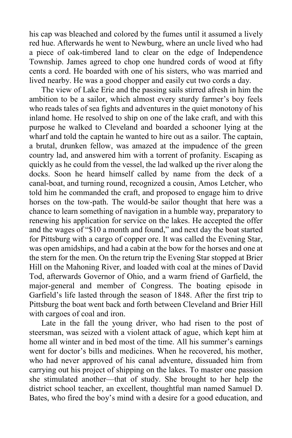his cap was bleached and colored by the fumes until it assumed a lively red hue. Afterwards he went to Newburg, where an uncle lived who had a piece of oak-timbered land to clear on the edge of Independence Township. James agreed to chop one hundred cords of wood at fifty cents a cord. He boarded with one of his sisters, who was married and lived nearby. He was a good chopper and easily cut two cords a day.

The view of Lake Erie and the passing sails stirred afresh in him the ambition to be a sailor, which almost every sturdy farmer's boy feels who reads tales of sea fights and adventures in the quiet monotony of his inland home. He resolved to ship on one of the lake craft, and with this purpose he walked to Cleveland and boarded a schooner lying at the wharf and told the captain he wanted to hire out as a sailor. The captain, a brutal, drunken fellow, was amazed at the impudence of the green country lad, and answered him with a torrent of profanity. Escaping as quickly as he could from the vessel, the lad walked up the river along the docks. Soon he heard himself called by name from the deck of a canal-boat, and turning round, recognized a cousin, Amos Letcher, who told him he commanded the craft, and proposed to engage him to drive horses on the tow-path. The would-be sailor thought that here was a chance to learn something of navigation in a humble way, preparatory to renewing his application for service on the lakes. He accepted the offer and the wages of "\$10 a month and found," and next day the boat started for Pittsburg with a cargo of copper ore. It was called the Evening Star, was open amidships, and had a cabin at the bow for the horses and one at the stern for the men. On the return trip the Evening Star stopped at Brier Hill on the Mahoning River, and loaded with coal at the mines of David Tod, afterwards Governor of Ohio, and a warm friend of Garfield, the major-general and member of Congress. The boating episode in Garfield's life lasted through the season of 1848. After the first trip to Pittsburg the boat went back and forth between Cleveland and Brier Hill with cargoes of coal and iron.

Late in the fall the young driver, who had risen to the post of steersman, was seized with a violent attack of ague, which kept him at home all winter and in bed most of the time. All his summer's earnings went for doctor's bills and medicines. When he recovered, his mother, who had never approved of his canal adventure, dissuaded him from carrying out his project of shipping on the lakes. To master one passion she stimulated another—that of study. She brought to her help the district school teacher, an excellent, thoughtful man named Samuel D. Bates, who fired the boy's mind with a desire for a good education, and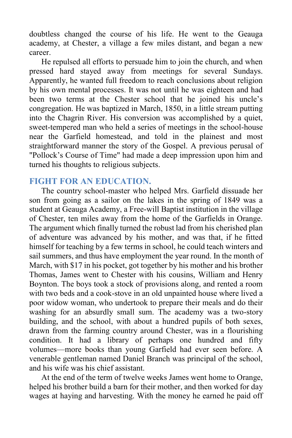doubtless changed the course of his life. He went to the Geauga academy, at Chester, a village a few miles distant, and began a new career.

He repulsed all efforts to persuade him to join the church, and when pressed hard stayed away from meetings for several Sundays. Apparently, he wanted full freedom to reach conclusions about religion by his own mental processes. It was not until he was eighteen and had been two terms at the Chester school that he joined his uncle's congregation. He was baptized in March, 1850, in a little stream putting into the Chagrin River. His conversion was accomplished by a quiet, sweet-tempered man who held a series of meetings in the school-house near the Garfield homestead, and told in the plainest and most straightforward manner the story of the Gospel. A previous perusal of "Pollock's Course of Time" had made a deep impression upon him and turned his thoughts to religious subjects.

## **FIGHT FOR AN EDUCATION.**

The country school-master who helped Mrs. Garfield dissuade her son from going as a sailor on the lakes in the spring of 1849 was a student at Geauga Academy, a Free-will Baptist institution in the village of Chester, ten miles away from the home of the Garfields in Orange. The argument which finally turned the robust lad from his cherished plan of adventure was advanced by his mother, and was that, if he fitted himself for teaching by a few terms in school, he could teach winters and sail summers, and thus have employment the year round. In the month of March, with \$17 in his pocket, got together by his mother and his brother Thomas, James went to Chester with his cousins, William and Henry Boynton. The boys took a stock of provisions along, and rented a room with two beds and a cook-stove in an old unpainted house where lived a poor widow woman, who undertook to prepare their meals and do their washing for an absurdly small sum. The academy was a two-story building, and the school, with about a hundred pupils of both sexes, drawn from the farming country around Chester, was in a flourishing condition. It had a library of perhaps one hundred and fifty volumes—more books than young Garfield had ever seen before. A venerable gentleman named Daniel Branch was principal of the school, and his wife was his chief assistant.

At the end of the term of twelve weeks James went home to Orange, helped his brother build a barn for their mother, and then worked for day wages at haying and harvesting. With the money he earned he paid off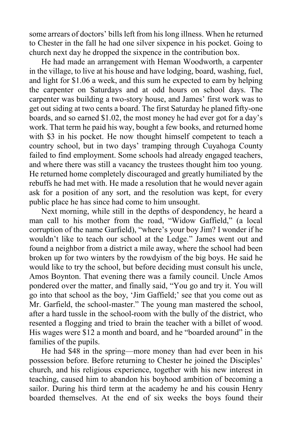some arrears of doctors' bills left from his long illness. When he returned to Chester in the fall he had one silver sixpence in his pocket. Going to church next day he dropped the sixpence in the contribution box.

He had made an arrangement with Heman Woodworth, a carpenter in the village, to live at his house and have lodging, board, washing, fuel, and light for \$1.06 a week, and this sum he expected to earn by helping the carpenter on Saturdays and at odd hours on school days. The carpenter was building a two-story house, and James' first work was to get out siding at two cents a board. The first Saturday he planed fifty-one boards, and so earned \$1.02, the most money he had ever got for a day's work. That term he paid his way, bought a few books, and returned home with \$3 in his pocket. He now thought himself competent to teach a country school, but in two days' tramping through Cuyahoga County failed to find employment. Some schools had already engaged teachers, and where there was still a vacancy the trustees thought him too young. He returned home completely discouraged and greatly humiliated by the rebuffs he had met with. He made a resolution that he would never again ask for a position of any sort, and the resolution was kept, for every public place he has since had come to him unsought.

Next morning, while still in the depths of despondency, he heard a man call to his mother from the road, "Widow Gaffield," (a local corruption of the name Garfield), "where's your boy Jim? I wonder if he wouldn't like to teach our school at the Ledge." James went out and found a neighbor from a district a mile away, where the school had been broken up for two winters by the rowdyism of the big boys. He said he would like to try the school, but before deciding must consult his uncle, Amos Boynton. That evening there was a family council. Uncle Amos pondered over the matter, and finally said, "You go and try it. You will go into that school as the boy, 'Jim Gaffield;' see that you come out as Mr. Garfield, the school-master." The young man mastered the school, after a hard tussle in the school-room with the bully of the district, who resented a flogging and tried to brain the teacher with a billet of wood. His wages were \$12 a month and board, and he "boarded around" in the families of the pupils.

He had \$48 in the spring—more money than had ever been in his possession before. Before returning to Chester he joined the Disciples' church, and his religious experience, together with his new interest in teaching, caused him to abandon his boyhood ambition of becoming a sailor. During his third term at the academy he and his cousin Henry boarded themselves. At the end of six weeks the boys found their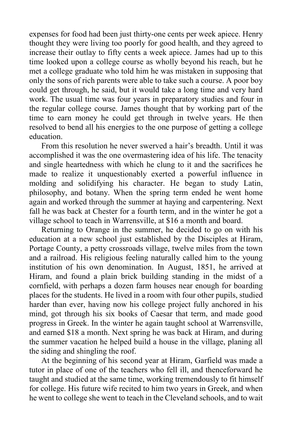expenses for food had been just thirty-one cents per week apiece. Henry thought they were living too poorly for good health, and they agreed to increase their outlay to fifty cents a week apiece. James had up to this time looked upon a college course as wholly beyond his reach, but he met a college graduate who told him he was mistaken in supposing that only the sons of rich parents were able to take such a course. A poor boy could get through, he said, but it would take a long time and very hard work. The usual time was four years in preparatory studies and four in the regular college course. James thought that by working part of the time to earn money he could get through in twelve years. He then resolved to bend all his energies to the one purpose of getting a college education.

From this resolution he never swerved a hair's breadth. Until it was accomplished it was the one overmastering idea of his life. The tenacity and single heartedness with which he clung to it and the sacrifices he made to realize it unquestionably exerted a powerful influence in molding and solidifying his character. He began to study Latin, philosophy, and botany. When the spring term ended he went home again and worked through the summer at haying and carpentering. Next fall he was back at Chester for a fourth term, and in the winter he got a village school to teach in Warrensville, at \$16 a month and board.

Returning to Orange in the summer, he decided to go on with his education at a new school just established by the Disciples at Hiram, Portage County, a petty crossroads village, twelve miles from the town and a railroad. His religious feeling naturally called him to the young institution of his own denomination. In August, 1851, he arrived at Hiram, and found a plain brick building standing in the midst of a cornfield, with perhaps a dozen farm houses near enough for boarding places for the students. He lived in a room with four other pupils, studied harder than ever, having now his college project fully anchored in his mind, got through his six books of Caesar that term, and made good progress in Greek. In the winter he again taught school at Warrensville, and earned \$18 a month. Next spring he was back at Hiram, and during the summer vacation he helped build a house in the village, planing all the siding and shingling the roof.

At the beginning of his second year at Hiram, Garfield was made a tutor in place of one of the teachers who fell ill, and thenceforward he taught and studied at the same time, working tremendously to fit himself for college. His future wife recited to him two years in Greek, and when he went to college she went to teach in the Cleveland schools, and to wait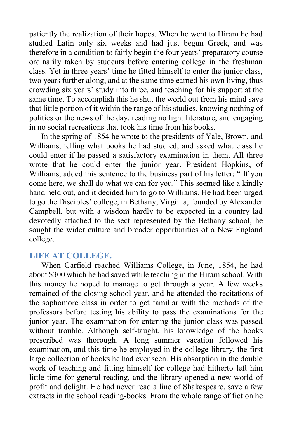patiently the realization of their hopes. When he went to Hiram he had studied Latin only six weeks and had just begun Greek, and was therefore in a condition to fairly begin the four years' preparatory course ordinarily taken by students before entering college in the freshman class. Yet in three years' time he fitted himself to enter the junior class, two years further along, and at the same time earned his own living, thus crowding six years' study into three, and teaching for his support at the same time. To accomplish this he shut the world out from his mind save that little portion of it within the range of his studies, knowing nothing of politics or the news of the day, reading no light literature, and engaging in no social recreations that took his time from his books.

In the spring of 1854 he wrote to the presidents of Yale, Brown, and Williams, telling what books he had studied, and asked what class he could enter if he passed a satisfactory examination in them. All three wrote that he could enter the junior year. President Hopkins, of Williams, added this sentence to the business part of his letter: " If you come here, we shall do what we can for you." This seemed like a kindly hand held out, and it decided him to go to Williams. He had been urged to go the Disciples' college, in Bethany, Virginia, founded by Alexander Campbell, but with a wisdom hardly to be expected in a country lad devotedly attached to the sect represented by the Bethany school, he sought the wider culture and broader opportunities of a New England college.

## **LIFE AT COLLEGE.**

When Garfield reached Williams College, in June, 1854, he had about \$300 which he had saved while teaching in the Hiram school. With this money he hoped to manage to get through a year. A few weeks remained of the closing school year, and he attended the recitations of the sophomore class in order to get familiar with the methods of the professors before testing his ability to pass the examinations for the junior year. The examination for entering the junior class was passed without trouble. Although self-taught, his knowledge of the books prescribed was thorough. A long summer vacation followed his examination, and this time he employed in the college library, the first large collection of books he had ever seen. His absorption in the double work of teaching and fitting himself for college had hitherto left him little time for general reading, and the library opened a new world of profit and delight. He had never read a line of Shakespeare, save a few extracts in the school reading-books. From the whole range of fiction he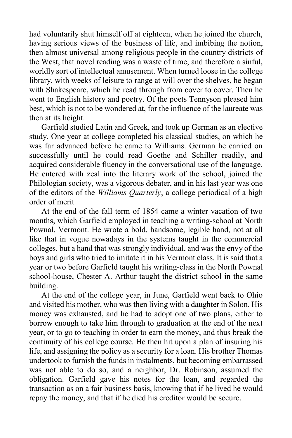had voluntarily shut himself off at eighteen, when he joined the church, having serious views of the business of life, and imbibing the notion, then almost universal among religious people in the country districts of the West, that novel reading was a waste of time, and therefore a sinful, worldly sort of intellectual amusement. When turned loose in the college library, with weeks of leisure to range at will over the shelves, he began with Shakespeare, which he read through from cover to cover. Then he went to English history and poetry. Of the poets Tennyson pleased him best, which is not to be wondered at, for the influence of the laureate was then at its height.

Garfield studied Latin and Greek, and took up German as an elective study. One year at college completed his classical studies, on which he was far advanced before he came to Williams. German he carried on successfully until he could read Goethe and Schiller readily, and acquired considerable fluency in the conversational use of the language. He entered with zeal into the literary work of the school, joined the Philologian society, was a vigorous debater, and in his last year was one of the editors of the *Williams Quarterly*, a college periodical of a high order of merit

At the end of the fall term of 1854 came a winter vacation of two months, which Garfield employed in teaching a writing-school at North Pownal, Vermont. He wrote a bold, handsome, legible hand, not at all like that in vogue nowadays in the systems taught in the commercial colleges, but a hand that was strongly individual, and was the envy of the boys and girls who tried to imitate it in his Vermont class. It is said that a year or two before Garfield taught his writing-class in the North Pownal school-house, Chester A. Arthur taught the district school in the same building.

At the end of the college year, in June, Garfield went back to Ohio and visited his mother, who was then living with a daughter in Solon. His money was exhausted, and he had to adopt one of two plans, either to borrow enough to take him through to graduation at the end of the next year, or to go to teaching in order to earn the money, and thus break the continuity of his college course. He then hit upon a plan of insuring his life, and assigning the policy as a security for a loan. His brother Thomas undertook to furnish the funds in instalments, but becoming embarrassed was not able to do so, and a neighbor, Dr. Robinson, assumed the obligation. Garfield gave his notes for the loan, and regarded the transaction as on a fair business basis, knowing that if he lived he would repay the money, and that if he died his creditor would be secure.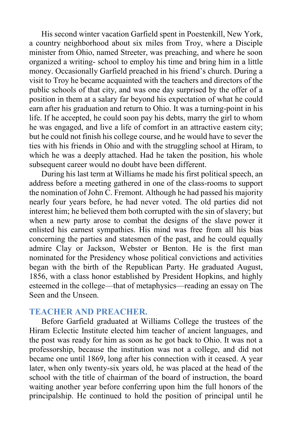His second winter vacation Garfield spent in Poestenkill, New York, a country neighborhood about six miles from Troy, where a Disciple minister from Ohio, named Streeter, was preaching, and where he soon organized a writing- school to employ his time and bring him in a little money. Occasionally Garfield preached in his friend's church. During a visit to Troy he became acquainted with the teachers and directors of the public schools of that city, and was one day surprised by the offer of a position in them at a salary far beyond his expectation of what he could earn after his graduation and return to Ohio. It was a turning-point in his life. If he accepted, he could soon pay his debts, marry the girl to whom he was engaged, and live a life of comfort in an attractive eastern city; but he could not finish his college course, and he would have to sever the ties with his friends in Ohio and with the struggling school at Hiram, to which he was a deeply attached. Had he taken the position, his whole subsequent career would no doubt have been different.

During his last term at Williams he made his first political speech, an address before a meeting gathered in one of the class-rooms to support the nomination of John C. Fremont. Although he had passed his majority nearly four years before, he had never voted. The old parties did not interest him; he believed them both corrupted with the sin of slavery; but when a new party arose to combat the designs of the slave power it enlisted his earnest sympathies. His mind was free from all his bias concerning the parties and statesmen of the past, and he could equally admire Clay or Jackson, Webster or Benton. He is the first man nominated for the Presidency whose political convictions and activities began with the birth of the Republican Party. He graduated August, 1856, with a class honor established by President Hopkins, and highly esteemed in the college—that of metaphysics—reading an essay on The Seen and the Unseen.

#### **TEACHER AND PREACHER.**

Before Garfield graduated at Williams College the trustees of the Hiram Eclectic Institute elected him teacher of ancient languages, and the post was ready for him as soon as he got back to Ohio. It was not a professorship, because the institution was not a college, and did not became one until 1869, long after his connection with it ceased. A year later, when only twenty-six years old, he was placed at the head of the school with the title of chairman of the board of instruction, the board waiting another year before conferring upon him the full honors of the principalship. He continued to hold the position of principal until he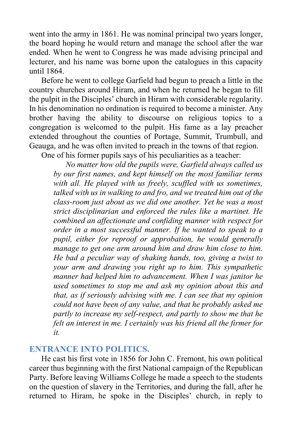went into the army in 1861. He was nominal principal two years longer, the board hoping he would return and manage the school after the war ended. When he went to Congress he was made advising principal and lecturer, and his name was borne upon the catalogues in this capacity until 1864.

Before he went to college Garfield had begun to preach a little in the country churches around Hiram, and when he returned he began to fill the pulpit in the Disciples' church in Hiram with considerable regularity. In his denomination no ordination is required to become a minister. Any brother having the ability to discourse on religious topics to a congregation is welcomed to the pulpit. His fame as a lay preacher extended throughout the counties of Portage, Summit, Trumbull, and Geauga, and he was often invited to preach in the towns of that region. One of his former pupils says of his peculiarities as a teacher:

*No matter how old the pupils were, Garfield always called us* 

*by our first names, and kept himself on the most familiar terms*  with all. He played with us freely, scuffled with us sometimes, *talked with us in walking to and fro, and we treated him out of the class-room just about as we did one another. Yet he was a most strict disciplinarian and enforced the rules like a martinet. He combined an affectionate and confiding manner with respect for order in a most successful manner. If he wanted to speak to a pupil, either for reproof or approbation, he would generally manage to get one arm around him and draw him close to him. He bad a peculiar way of shaking hands, too, giving a twist to your arm and drawing you right up to him. This sympathetic manner had helped him to advancement. When I was janitor he used sometimes to stop me and ask my opinion about this and that, as if seriously advising with me. I can see that my opinion could not have been of any value, and that he probably asked me partly to increase my self-respect, and partly to show me that he felt an interest in me. I certainly was his friend all the firmer for it.*

# **ENTRANCE INTO POLITICS.**

He cast his first vote in 1856 for John C. Fremont, his own political career thus beginning with the first National campaign of the Republican Party. Before leaving Williams College he made a speech to the students on the question of slavery in the Territories, and during the fall, after he returned to Hiram, he spoke in the Disciples' church, in reply to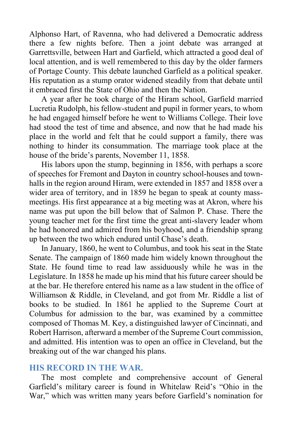Alphonso Hart, of Ravenna, who had delivered a Democratic address there a few nights before. Then a joint debate was arranged at Garrettsville, between Hart and Garfield, which attracted a good deal of local attention, and is well remembered to this day by the older farmers of Portage County. This debate launched Garfield as a political speaker. His reputation as a stump orator widened steadily from that debate until it embraced first the State of Ohio and then the Nation.

A year after he took charge of the Hiram school, Garfield married Lucretia Rudolph, his fellow-student and pupil in former years, to whom he had engaged himself before he went to Williams College. Their love had stood the test of time and absence, and now that he had made his place in the world and felt that he could support a family, there was nothing to hinder its consummation. The marriage took place at the house of the bride's parents, November 11, 1858.

His labors upon the stump, beginning in 1856, with perhaps a score of speeches for Fremont and Dayton in country school-houses and townhalls in the region around Hiram, were extended in 1857 and 1858 over a wider area of territory, and in 1859 he began to speak at county massmeetings. His first appearance at a big meeting was at Akron, where his name was put upon the bill below that of Salmon P. Chase. There the young teacher met for the first time the great anti-slavery leader whom he had honored and admired from his boyhood, and a friendship sprang up between the two which endured until Chase's death.

In January, 1860, he went to Columbus, and took his seat in the State Senate. The campaign of 1860 made him widely known throughout the State. He found time to read law assiduously while he was in the Legislature. In 1858 he made up his mind that his future career should be at the bar. He therefore entered his name as a law student in the office of Williamson & Riddle, in Cleveland, and got from Mr. Riddle a list of books to be studied. In 1861 he applied to the Supreme Court at Columbus for admission to the bar, was examined by a committee composed of Thomas M. Key, a distinguished lawyer of Cincinnati, and Robert Harrison, afterward a member of the Supreme Court commission, and admitted. His intention was to open an office in Cleveland, but the breaking out of the war changed his plans.

## **HIS RECORD IN THE WAR.**

The most complete and comprehensive account of General Garfield's military career is found in Whitelaw Reid's "Ohio in the War," which was written many years before Garfield's nomination for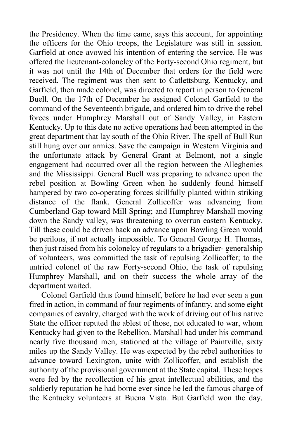the Presidency. When the time came, says this account, for appointing the officers for the Ohio troops, the Legislature was still in session. Garfield at once avowed his intention of entering the service. He was offered the lieutenant-colonelcy of the Forty-second Ohio regiment, but it was not until the 14th of December that orders for the field were received. The regiment was then sent to Catlettsburg, Kentucky, and Garfield, then made colonel, was directed to report in person to General Buell. On the 17th of December he assigned Colonel Garfield to the command of the Seventeenth brigade, and ordered him to drive the rebel forces under Humphrey Marshall out of Sandy Valley, in Eastern Kentucky. Up to this date no active operations had been attempted in the great department that lay south of the Ohio River. The spell of Bull Run still hung over our armies. Save the campaign in Western Virginia and the unfortunate attack by General Grant at Belmont, not a single engagement had occurred over all the region between the Alleghenies and the Mississippi. General Buell was preparing to advance upon the rebel position at Bowling Green when he suddenly found himself hampered by two co-operating forces skillfully planted within striking distance of the flank. General Zollicoffer was advancing from Cumberland Gap toward Mill Spring; and Humphrey Marshall moving down the Sandy valley, was threatening to overrun eastern Kentucky. Till these could be driven back an advance upon Bowling Green would be perilous, if not actually impossible. To General George H. Thomas, then just raised from his colonelcy of regulars to a brigadier- generalship of volunteers, was committed the task of repulsing Zollicoffer; to the untried colonel of the raw Forty-second Ohio, the task of repulsing Humphrey Marshall, and on their success the whole array of the department waited.

Colonel Garfield thus found himself, before he had ever seen a gun fired in action, in command of four regiments of infantry, and some eight companies of cavalry, charged with the work of driving out of his native State the officer reputed the ablest of those, not educated to war, whom Kentucky had given to the Rebellion. Marshall had under his command nearly five thousand men, stationed at the village of Paintville, sixty miles up the Sandy Valley. He was expected by the rebel authorities to advance toward Lexington, unite with Zollicoffer, and establish the authority of the provisional government at the State capital. These hopes were fed by the recollection of his great intellectual abilities, and the soldierly reputation he had borne ever since he led the famous charge of the Kentucky volunteers at Buena Vista. But Garfield won the day.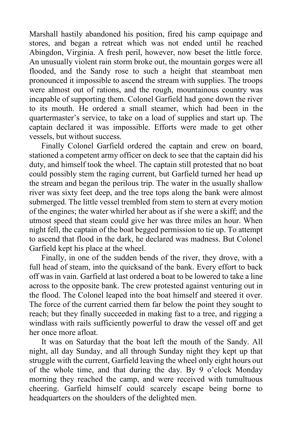Marshall hastily abandoned his position, fired his camp equipage and stores, and began a retreat which was not ended until he reached Abingdon, Virginia. A fresh peril, however, now beset the little force. An unusually violent rain storm broke out, the mountain gorges were all flooded, and the Sandy rose to such a height that steamboat men pronounced it impossible to ascend the stream with supplies. The troops were almost out of rations, and the rough, mountainous country was incapable of supporting them. Colonel Garfield had gone down the river to its mouth. He ordered a small steamer, which had been in the quartermaster's service, to take on a load of supplies and start up. The captain declared it was impossible. Efforts were made to get other vessels, but without success.

Finally Colonel Garfield ordered the captain and crew on board, stationed a competent army officer on deck to see that the captain did his duty, and himself took the wheel. The captain still protested that no boat could possibly stem the raging current, but Garfield turned her head up the stream and began the perilous trip. The water in the usually shallow river was sixty feet deep, and the tree tops along the bank were almost submerged. The little vessel trembled from stem to stern at every motion of the engines; the water whirled her about as if she were a skiff; and the utmost speed that steam could give her was three miles an hour. When night fell, the captain of the boat begged permission to tie up. To attempt to ascend that flood in the dark, he declared was madness. But Colonel Garfield kept his place at the wheel.

Finally, in one of the sudden bends of the river, they drove, with a full head of steam, into the quicksand of the bank. Every effort to back off was in vain. Garfield at last ordered a boat to be lowered to take a line across to the opposite bank. The crew protested against venturing out in the flood. The Colonel leaped into the boat himself and steered it over. The force of the current carried them far below the point they sought to reach; but they finally succeeded in making fast to a tree, and rigging a windlass with rails sufficiently powerful to draw the vessel off and get her once more afloat.

It was on Saturday that the boat left the mouth of the Sandy. All night, all day Sunday, and all through Sunday night they kept up that struggle with the current, Garfield leaving the wheel only eight hours out of the whole time, and that during the day. By 9 o'clock Monday morning they reached the camp, and were received with tumultuous cheering. Garfield himself could scarcely escape being borne to headquarters on the shoulders of the delighted men.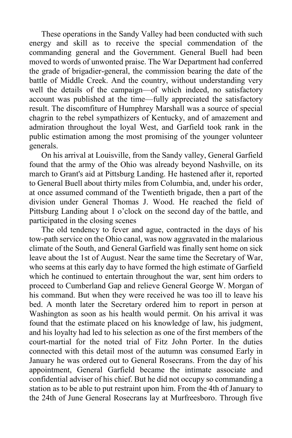These operations in the Sandy Valley had been conducted with such energy and skill as to receive the special commendation of the commanding general and the Government. General Buell had been moved to words of unwonted praise. The War Department had conferred the grade of brigadier-general, the commission bearing the date of the battle of Middle Creek. And the country, without understanding very well the details of the campaign—of which indeed, no satisfactory account was published at the time—fully appreciated the satisfactory result. The discomfiture of Humphrey Marshall was a source of special chagrin to the rebel sympathizers of Kentucky, and of amazement and admiration throughout the loyal West, and Garfield took rank in the public estimation among the most promising of the younger volunteer generals.

On his arrival at Louisville, from the Sandy valley, General Garfield found that the army of the Ohio was already beyond Nashville, on its march to Grant's aid at Pittsburg Landing. He hastened after it, reported to General Buell about thirty miles from Columbia, and, under his order, at once assumed command of the Twentieth brigade, then a part of the division under General Thomas J. Wood. He reached the field of Pittsburg Landing about 1 o'clock on the second day of the battle, and participated in the closing scenes

The old tendency to fever and ague, contracted in the days of his tow-path service on the Ohio canal, was now aggravated in the malarious climate of the South, and General Garfield was finally sent home on sick leave about the 1st of August. Near the same time the Secretary of War, who seems at this early day to have formed the high estimate of Garfield which he continued to entertain throughout the war, sent him orders to proceed to Cumberland Gap and relieve General George W. Morgan of his command. But when they were received he was too ill to leave his bed. A month later the Secretary ordered him to report in person at Washington as soon as his health would permit. On his arrival it was found that the estimate placed on his knowledge of law, his judgment, and his loyalty had led to his selection as one of the first members of the court-martial for the noted trial of Fitz John Porter. In the duties connected with this detail most of the autumn was consumed Early in January he was ordered out to General Rosecrans. From the day of his appointment, General Garfield became the intimate associate and confidential adviser of his chief. But he did not occupy so commanding a station as to be able to put restraint upon him. From the 4th of January to the 24th of June General Rosecrans lay at Murfreesboro. Through five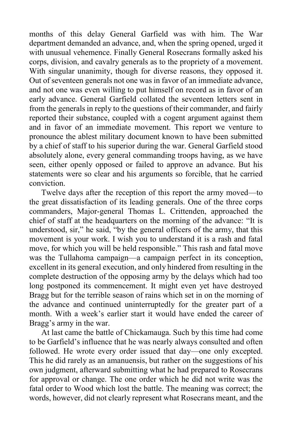months of this delay General Garfield was with him. The War department demanded an advance, and, when the spring opened, urged it with unusual vehemence. Finally General Rosecrans formally asked his corps, division, and cavalry generals as to the propriety of a movement. With singular unanimity, though for diverse reasons, they opposed it. Out of seventeen generals not one was in favor of an immediate advance, and not one was even willing to put himself on record as in favor of an early advance. General Garfield collated the seventeen letters sent in from the generals in reply to the questions of their commander, and fairly reported their substance, coupled with a cogent argument against them and in favor of an immediate movement. This report we venture to pronounce the ablest military document known to have been submitted by a chief of staff to his superior during the war. General Garfield stood absolutely alone, every general commanding troops having, as we have seen, either openly opposed or failed to approve an advance. But his statements were so clear and his arguments so forcible, that he carried conviction.

Twelve days after the reception of this report the army moved—to the great dissatisfaction of its leading generals. One of the three corps commanders, Major-general Thomas L. Crittenden, approached the chief of staff at the headquarters on the morning of the advance: "It is understood, sir," he said, "by the general officers of the army, that this movement is your work. I wish you to understand it is a rash and fatal move, for which you will be held responsible." This rash and fatal move was the Tullahoma campaign—a campaign perfect in its conception, excellent in its general execution, and only hindered from resulting in the complete destruction of the opposing army by the delays which had too long postponed its commencement. It might even yet have destroyed Bragg but for the terrible season of rains which set in on the morning of the advance and continued uninterruptedly for the greater part of a month. With a week's earlier start it would have ended the career of Bragg's army in the war.

At last came the battle of Chickamauga. Such by this time had come to be Garfield's influence that he was nearly always consulted and often followed. He wrote every order issued that day—one only excepted. This he did rarely as an amanuensis, but rather on the suggestions of his own judgment, afterward submitting what he had prepared to Rosecrans for approval or change. The one order which he did not write was the fatal order to Wood which lost the battle. The meaning was correct; the words, however, did not clearly represent what Rosecrans meant, and the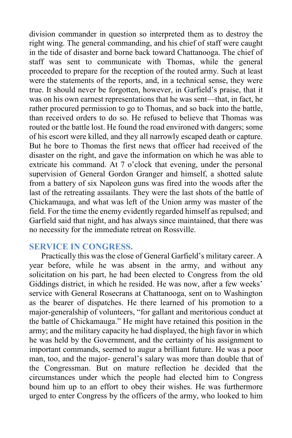division commander in question so interpreted them as to destroy the right wing. The general commanding, and his chief of staff were caught in the tide of disaster and borne back toward Chattanooga. The chief of staff was sent to communicate with Thomas, while the general proceeded to prepare for the reception of the routed army. Such at least were the statements of the reports, and, in a technical sense, they were true. It should never be forgotten, however, in Garfield's praise, that it was on his own earnest representations that he was sent—that, in fact, he rather procured permission to go to Thomas, and so back into the battle, than received orders to do so. He refused to believe that Thomas was routed or the battle lost. He found the road environed with dangers; some of his escort were killed, and they all narrowly escaped death or capture. But he bore to Thomas the first news that officer had received of the disaster on the right, and gave the information on which he was able to extricate his command. At 7 o'clock that evening, under the personal supervision of General Gordon Granger and himself, a shotted salute from a battery of six Napoleon guns was fired into the woods after the last of the retreating assailants. They were the last shots of the battle of Chickamauga, and what was left of the Union army was master of the field. For the time the enemy evidently regarded himself as repulsed; and Garfield said that night, and has always since maintained, that there was no necessity for the immediate retreat on Rossville.

#### **SERVICE IN CONGRESS.**

Practically this was the close of General Garfield's military career. A year before, while he was absent in the army, and without any solicitation on his part, he had been elected to Congress from the old Giddings district, in which he resided. He was now, after a few weeks' service with General Rosecrans at Chattanooga, sent on to Washington as the bearer of dispatches. He there learned of his promotion to a major-generalship of volunteers, "for gallant and meritorious conduct at the battle of Chickamauga." He might have retained this position in the army; and the military capacity he had displayed, the high favor in which he was held by the Government, and the certainty of his assignment to important commands, seemed to augur a brilliant future. He was a poor man, too, and the major- general's salary was more than double that of the Congressman. But on mature reflection he decided that the circumstances under which the people had elected him to Congress bound him up to an effort to obey their wishes. He was furthermore urged to enter Congress by the officers of the army, who looked to him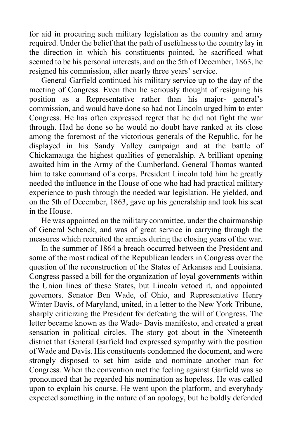for aid in procuring such military legislation as the country and army required. Under the belief that the path of usefulness to the country lay in the direction in which his constituents pointed, he sacrificed what seemed to be his personal interests, and on the 5th of December, 1863, he resigned his commission, after nearly three years' service.

General Garfield continued his military service up to the day of the meeting of Congress. Even then he seriously thought of resigning his position as a Representative rather than his major- general's commission, and would have done so had not Lincoln urged him to enter Congress. He has often expressed regret that he did not fight the war through. Had he done so he would no doubt have ranked at its close among the foremost of the victorious generals of the Republic, for he displayed in his Sandy Valley campaign and at the battle of Chickamauga the highest qualities of generalship. A brilliant opening awaited him in the Army of the Cumberland. General Thomas wanted him to take command of a corps. President Lincoln told him he greatly needed the influence in the House of one who had had practical military experience to push through the needed war legislation. He yielded, and on the 5th of December, 1863, gave up his generalship and took his seat in the House.

He was appointed on the military committee, under the chairmanship of General Schenck, and was of great service in carrying through the measures which recruited the armies during the closing years of the war.

In the summer of 1864 a breach occurred between the President and some of the most radical of the Republican leaders in Congress over the question of the reconstruction of the States of Arkansas and Louisiana. Congress passed a bill for the organization of loyal governments within the Union lines of these States, but Lincoln vetoed it, and appointed governors. Senator Ben Wade, of Ohio, and Representative Henry Winter Davis, of Maryland, united, in a letter to the New York Tribune, sharply criticizing the President for defeating the will of Congress. The letter became known as the Wade- Davis manifesto, and created a great sensation in political circles. The story got about in the Nineteenth district that General Garfield had expressed sympathy with the position of Wade and Davis. His constituents condemned the document, and were strongly disposed to set him aside and nominate another man for Congress. When the convention met the feeling against Garfield was so pronounced that he regarded his nomination as hopeless. He was called upon to explain his course. He went upon the platform, and everybody expected something in the nature of an apology, but he boldly defended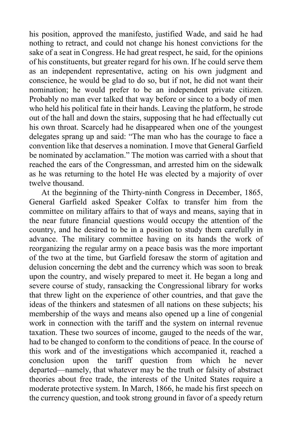his position, approved the manifesto, justified Wade, and said he had nothing to retract, and could not change his honest convictions for the sake of a seat in Congress. He had great respect, he said, for the opinions of his constituents, but greater regard for his own. If he could serve them as an independent representative, acting on his own judgment and conscience, he would be glad to do so, but if not, he did not want their nomination; he would prefer to be an independent private citizen. Probably no man ever talked that way before or since to a body of men who held his political fate in their hands. Leaving the platform, he strode out of the hall and down the stairs, supposing that he had effectually cut his own throat. Scarcely had he disappeared when one of the youngest delegates sprang up and said: "The man who has the courage to face a convention like that deserves a nomination. I move that General Garfield be nominated by acclamation." The motion was carried with a shout that reached the ears of the Congressman, and arrested him on the sidewalk as he was returning to the hotel He was elected by a majority of over twelve thousand.

At the beginning of the Thirty-ninth Congress in December, 1865, General Garfield asked Speaker Colfax to transfer him from the committee on military affairs to that of ways and means, saying that in the near future financial questions would occupy the attention of the country, and he desired to be in a position to study them carefully in advance. The military committee having on its hands the work of reorganizing the regular army on a peace basis was the more important of the two at the time, but Garfield foresaw the storm of agitation and delusion concerning the debt and the currency which was soon to break upon the country, and wisely prepared to meet it. He began a long and severe course of study, ransacking the Congressional library for works that threw light on the experience of other countries, and that gave the ideas of the thinkers and statesmen of all nations on these subjects; his membership of the ways and means also opened up a line of congenial work in connection with the tariff and the system on internal revenue taxation. These two sources of income, gauged to the needs of the war, had to be changed to conform to the conditions of peace. In the course of this work and of the investigations which accompanied it, reached a conclusion upon the tariff question from which he never departed—namely, that whatever may be the truth or falsity of abstract theories about free trade, the interests of the United States require a moderate protective system. In March, 1866, he made his first speech on the currency question, and took strong ground in favor of a speedy return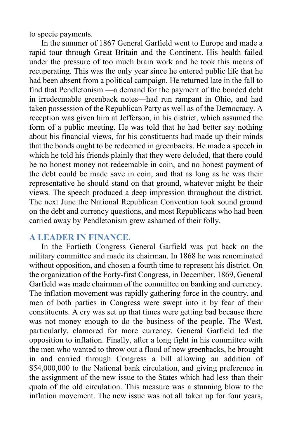to specie payments.

In the summer of 1867 General Garfield went to Europe and made a rapid tour through Great Britain and the Continent. His health failed under the pressure of too much brain work and he took this means of recuperating. This was the only year since he entered public life that he had been absent from a political campaign. He returned late in the fall to find that Pendletonism —a demand for the payment of the bonded debt in irredeemable greenback notes—had run rampant in Ohio, and had taken possession of the Republican Party as well as of the Democracy. A reception was given him at Jefferson, in his district, which assumed the form of a public meeting. He was told that he had better say nothing about his financial views, for his constituents had made up their minds that the bonds ought to be redeemed in greenbacks. He made a speech in which he told his friends plainly that they were deluded, that there could be no honest money not redeemable in coin, and no honest payment of the debt could be made save in coin, and that as long as he was their representative he should stand on that ground, whatever might be their views. The speech produced a deep impression throughout the district. The next June the National Republican Convention took sound ground on the debt and currency questions, and most Republicans who had been carried away by Pendletonism grew ashamed of their folly.

## **A LEADER IN FINANCE.**

In the Fortieth Congress General Garfield was put back on the military committee and made its chairman. In 1868 he was renominated without opposition, and chosen a fourth time to represent his district. On the organization of the Forty-first Congress, in December, 1869, General Garfield was made chairman of the committee on banking and currency. The inflation movement was rapidly gathering force in the country, and men of both parties in Congress were swept into it by fear of their constituents. A cry was set up that times were getting bad because there was not money enough to do the business of the people. The West, particularly, clamored for more currency. General Garfield led the opposition to inflation. Finally, after a long fight in his committee with the men who wanted to throw out a flood of new greenbacks, he brought in and carried through Congress a bill allowing an addition of \$54,000,000 to the National bank circulation, and giving preference in the assignment of the new issue to the States which had less than their quota of the old circulation. This measure was a stunning blow to the inflation movement. The new issue was not all taken up for four years,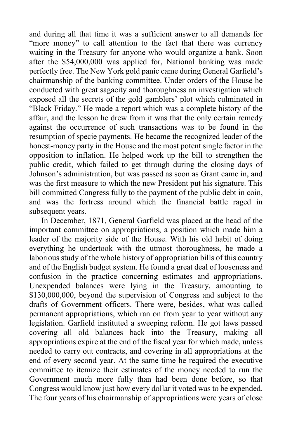and during all that time it was a sufficient answer to all demands for "more money" to call attention to the fact that there was currency waiting in the Treasury for anyone who would organize a bank. Soon after the \$54,000,000 was applied for, National banking was made perfectly free. The New York gold panic came during General Garfield's chairmanship of the banking committee. Under orders of the House he conducted with great sagacity and thoroughness an investigation which exposed all the secrets of the gold gamblers' plot which culminated in "Black Friday." He made a report which was a complete history of the affair, and the lesson he drew from it was that the only certain remedy against the occurrence of such transactions was to be found in the resumption of specie payments. He became the recognized leader of the honest-money party in the House and the most potent single factor in the opposition to inflation. He helped work up the bill to strengthen the public credit, which failed to get through during the closing days of Johnson's administration, but was passed as soon as Grant came in, and was the first measure to which the new President put his signature. This bill committed Congress fully to the payment of the public debt in coin, and was the fortress around which the financial battle raged in subsequent years.

In December, 1871, General Garfield was placed at the head of the important committee on appropriations, a position which made him a leader of the majority side of the House. With his old habit of doing everything he undertook with the utmost thoroughness, he made a laborious study of the whole history of appropriation bills of this country and of the English budget system. He found a great deal of looseness and confusion in the practice concerning estimates and appropriations. Unexpended balances were lying in the Treasury, amounting to \$130,000,000, beyond the supervision of Congress and subject to the drafts of Government officers. There were, besides, what was called permanent appropriations, which ran on from year to year without any legislation. Garfield instituted a sweeping reform. He got laws passed covering all old balances back into the Treasury, making all appropriations expire at the end of the fiscal year for which made, unless needed to carry out contracts, and covering in all appropriations at the end of every second year. At the same time he required the executive committee to itemize their estimates of the money needed to run the Government much more fully than had been done before, so that Congress would know just how every dollar it voted was to be expended. The four years of his chairmanship of appropriations were years of close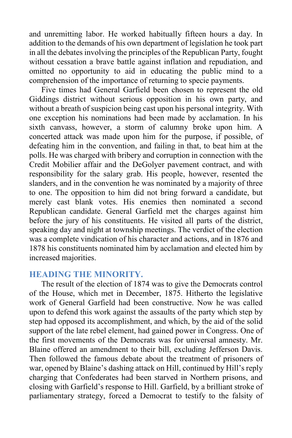and unremitting labor. He worked habitually fifteen hours a day. In addition to the demands of his own department of legislation he took part in all the debates involving the principles of the Republican Party, fought without cessation a brave battle against inflation and repudiation, and omitted no opportunity to aid in educating the public mind to a comprehension of the importance of returning to specie payments.

Five times had General Garfield been chosen to represent the old Giddings district without serious opposition in his own party, and without a breath of suspicion being cast upon his personal integrity. With one exception his nominations had been made by acclamation. In his sixth canvass, however, a storm of calumny broke upon him. A concerted attack was made upon him for the purpose, if possible, of defeating him in the convention, and failing in that, to beat him at the polls. He was charged with bribery and corruption in connection with the Credit Mobilier affair and the DeGolyer pavement contract, and with responsibility for the salary grab. His people, however, resented the slanders, and in the convention he was nominated by a majority of three to one. The opposition to him did not bring forward a candidate, but merely cast blank votes. His enemies then nominated a second Republican candidate. General Garfield met the charges against him before the jury of his constituents. He visited all parts of the district, speaking day and night at township meetings. The verdict of the election was a complete vindication of his character and actions, and in 1876 and 1878 his constituents nominated him by acclamation and elected him by increased majorities.

# **HEADING THE MINORITY.**

The result of the election of 1874 was to give the Democrats control of the House, which met in December, 1875. Hitherto the legislative work of General Garfield had been constructive. Now he was called upon to defend this work against the assaults of the party which step by step had opposed its accomplishment, and which, by the aid of the solid support of the late rebel element, had gained power in Congress. One of the first movements of the Democrats was for universal amnesty. Mr. Blaine offered an amendment to their bill, excluding Jefferson Davis. Then followed the famous debate about the treatment of prisoners of war, opened by Blaine's dashing attack on Hill, continued by Hill's reply charging that Confederates had been starved in Northern prisons, and closing with Garfield's response to Hill. Garfield, by a brilliant stroke of parliamentary strategy, forced a Democrat to testify to the falsity of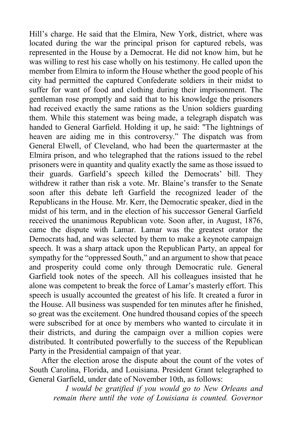Hill's charge. He said that the Elmira, New York, district, where was located during the war the principal prison for captured rebels, was represented in the House by a Democrat. He did not know him, but he was willing to rest his case wholly on his testimony. He called upon the member from Elmira to inform the House whether the good people of his city had permitted the captured Confederate soldiers in their midst to suffer for want of food and clothing during their imprisonment. The gentleman rose promptly and said that to his knowledge the prisoners had received exactly the same rations as the Union soldiers guarding them. While this statement was being made, a telegraph dispatch was handed to General Garfield. Holding it up, he said: "The lightnings of heaven are aiding me in this controversy." The dispatch was from General Elwell, of Cleveland, who had been the quartermaster at the Elmira prison, and who telegraphed that the rations issued to the rebel prisoners were in quantity and quality exactly the same as those issued to their guards. Garfield's speech killed the Democrats' bill. They withdrew it rather than risk a vote. Mr. Blaine's transfer to the Senate soon after this debate left Garfield the recognized leader of the Republicans in the House. Mr. Kerr, the Democratic speaker, died in the midst of his term, and in the election of his successor General Garfield received the unanimous Republican vote. Soon after, in August, 1876, came the dispute with Lamar. Lamar was the greatest orator the Democrats had, and was selected by them to make a keynote campaign speech. It was a sharp attack upon the Republican Party, an appeal for sympathy for the "oppressed South," and an argument to show that peace and prosperity could come only through Democratic rule. General Garfield took notes of the speech. All his colleagues insisted that he alone was competent to break the force of Lamar's masterly effort. This speech is usually accounted the greatest of his life. It created a furor in the House. All business was suspended for ten minutes after he finished, so great was the excitement. One hundred thousand copies of the speech were subscribed for at once by members who wanted to circulate it in their districts, and during the campaign over a million copies were distributed. It contributed powerfully to the success of the Republican Party in the Presidential campaign of that year.

After the election arose the dispute about the count of the votes of South Carolina, Florida, and Louisiana. President Grant telegraphed to General Garfield, under date of November 10th, as follows:

*I would be gratified if you would go to New Orleans and remain there until the vote of Louisiana is counted. Governor*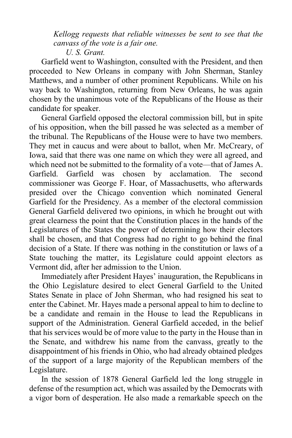*Kellogg requests that reliable witnesses be sent to see that the canvass of the vote is a fair one.*

*U. S. Grant.*

Garfield went to Washington, consulted with the President, and then proceeded to New Orleans in company with John Sherman, Stanley Matthews, and a number of other prominent Republicans. While on his way back to Washington, returning from New Orleans, he was again chosen by the unanimous vote of the Republicans of the House as their candidate for speaker.

General Garfield opposed the electoral commission bill, but in spite of his opposition, when the bill passed he was selected as a member of the tribunal. The Republicans of the House were to have two members. They met in caucus and were about to ballot, when Mr. McCreary, of Iowa, said that there was one name on which they were all agreed, and which need not be submitted to the formality of a vote—that of James A. Garfield. Garfield was chosen by acclamation. The second commissioner was George F. Hoar, of Massachusetts, who afterwards presided over the Chicago convention which nominated General Garfield for the Presidency. As a member of the electoral commission General Garfield delivered two opinions, in which he brought out with great clearness the point that the Constitution places in the hands of the Legislatures of the States the power of determining how their electors shall be chosen, and that Congress had no right to go behind the final decision of a State. If there was nothing in the constitution or laws of a State touching the matter, its Legislature could appoint electors as Vermont did, after her admission to the Union.

Immediately after President Hayes' inauguration, the Republicans in the Ohio Legislature desired to elect General Garfield to the United States Senate in place of John Sherman, who had resigned his seat to enter the Cabinet. Mr. Hayes made a personal appeal to him to decline to be a candidate and remain in the House to lead the Republicans in support of the Administration. General Garfield acceded, in the belief that his services would be of more value to the party in the House than in the Senate, and withdrew his name from the canvass, greatly to the disappointment of his friends in Ohio, who had already obtained pledges of the support of a large majority of the Republican members of the Legislature.

In the session of 1878 General Garfield led the long struggle in defense of the resumption act, which was assailed by the Democrats with a vigor born of desperation. He also made a remarkable speech on the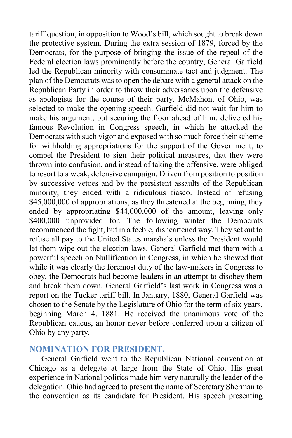tariff question, in opposition to Wood's bill, which sought to break down the protective system. During the extra session of 1879, forced by the Democrats, for the purpose of bringing the issue of the repeal of the Federal election laws prominently before the country, General Garfield led the Republican minority with consummate tact and judgment. The plan of the Democrats was to open the debate with a general attack on the Republican Party in order to throw their adversaries upon the defensive as apologists for the course of their party. McMahon, of Ohio, was selected to make the opening speech. Garfield did not wait for him to make his argument, but securing the floor ahead of him, delivered his famous Revolution in Congress speech, in which he attacked the Democrats with such vigor and exposed with so much force their scheme for withholding appropriations for the support of the Government, to compel the President to sign their political measures, that they were thrown into confusion, and instead of taking the offensive, were obliged to resort to a weak, defensive campaign. Driven from position to position by successive vetoes and by the persistent assaults of the Republican minority, they ended with a ridiculous fiasco. Instead of refusing \$45,000,000 of appropriations, as they threatened at the beginning, they ended by appropriating \$44,000,000 of the amount, leaving only \$400,000 unprovided for. The following winter the Democrats recommenced the fight, but in a feeble, disheartened way. They set out to refuse all pay to the United States marshals unless the President would let them wipe out the election laws. General Garfield met them with a powerful speech on Nullification in Congress, in which he showed that while it was clearly the foremost duty of the law-makers in Congress to obey, the Democrats had become leaders in an attempt to disobey them and break them down. General Garfield's last work in Congress was a report on the Tucker tariff bill. In January, 1880, General Garfield was chosen to the Senate by the Legislature of Ohio for the term of six years, beginning March 4, 1881. He received the unanimous vote of the Republican caucus, an honor never before conferred upon a citizen of Ohio by any party.

#### **NOMINATION FOR PRESIDENT.**

General Garfield went to the Republican National convention at Chicago as a delegate at large from the State of Ohio. His great experience in National politics made him very naturally the leader of the delegation. Ohio had agreed to present the name of Secretary Sherman to the convention as its candidate for President. His speech presenting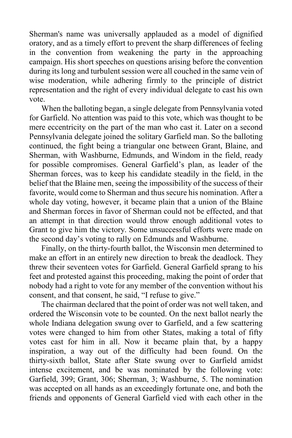Sherman's name was universally applauded as a model of dignified oratory, and as a timely effort to prevent the sharp differences of feeling in the convention from weakening the party in the approaching campaign. His short speeches on questions arising before the convention during its long and turbulent session were all couched in the same vein of wise moderation, while adhering firmly to the principle of district representation and the right of every individual delegate to cast his own vote.

When the balloting began, a single delegate from Pennsylvania voted for Garfield. No attention was paid to this vote, which was thought to be mere eccentricity on the part of the man who cast it. Later on a second Pennsylvania delegate joined the solitary Garfield man. So the balloting continued, the fight being a triangular one between Grant, Blaine, and Sherman, with Washburne, Edmunds, and Windom in the field, ready for possible compromises. General Garfield's plan, as leader of the Sherman forces, was to keep his candidate steadily in the field, in the belief that the Blaine men, seeing the impossibility of the success of their favorite, would come to Sherman and thus secure his nomination. After a whole day voting, however, it became plain that a union of the Blaine and Sherman forces in favor of Sherman could not be effected, and that an attempt in that direction would throw enough additional votes to Grant to give him the victory. Some unsuccessful efforts were made on the second day's voting to rally on Edmunds and Washburne.

Finally, on the thirty-fourth ballot, the Wisconsin men determined to make an effort in an entirely new direction to break the deadlock. They threw their seventeen votes for Garfield. General Garfield sprang to his feet and protested against this proceeding, making the point of order that nobody had a right to vote for any member of the convention without his consent, and that consent, he said, "I refuse to give."

The chairman declared that the point of order was not well taken, and ordered the Wisconsin vote to be counted. On the next ballot nearly the whole Indiana delegation swung over to Garfield, and a few scattering votes were changed to him from other States, making a total of fifty votes cast for him in all. Now it became plain that, by a happy inspiration, a way out of the difficulty had been found. On the thirty-sixth ballot, State after State swung over to Garfield amidst intense excitement, and be was nominated by the following vote: Garfield, 399; Grant, 306; Sherman, 3; Washburne, 5. The nomination was accepted on all hands as an exceedingly fortunate one, and both the friends and opponents of General Garfield vied with each other in the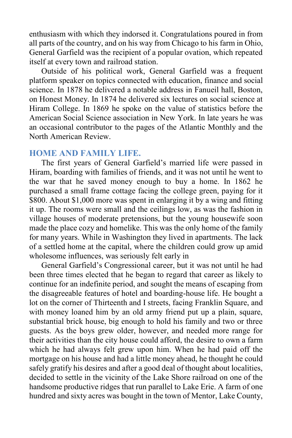enthusiasm with which they indorsed it. Congratulations poured in from all parts of the country, and on his way from Chicago to his farm in Ohio, General Garfield was the recipient of a popular ovation, which repeated itself at every town and railroad station.

Outside of his political work, General Garfield was a frequent platform speaker on topics connected with education, finance and social science. In 1878 he delivered a notable address in Fanueil hall, Boston, on Honest Money. In 1874 he delivered six lectures on social science at Hiram College. In 1869 he spoke on the value of statistics before the American Social Science association in New York. In late years he was an occasional contributor to the pages of the Atlantic Monthly and the North American Review.

#### **HOME AND FAMILY LIFE.**

The first years of General Garfield's married life were passed in Hiram, boarding with families of friends, and it was not until he went to the war that he saved money enough to buy a home. In 1862 he purchased a small frame cottage facing the college green, paying for it \$800. About \$1,000 more was spent in enlarging it by a wing and fitting it up. The rooms were small and the ceilings low, as was the fashion in village houses of moderate pretensions, but the young housewife soon made the place cozy and homelike. This was the only home of the family for many years. While in Washington they lived in apartments. The lack of a settled home at the capital, where the children could grow up amid wholesome influences, was seriously felt early in

General Garfield's Congressional career, but it was not until he had been three times elected that he began to regard that career as likely to continue for an indefinite period, and sought the means of escaping from the disagreeable features of hotel and boarding-house life. He bought a lot on the corner of Thirteenth and I streets, facing Franklin Square, and with money loaned him by an old army friend put up a plain, square, substantial brick house, big enough to hold his family and two or three guests. As the boys grew older, however, and needed more range for their activities than the city house could afford, the desire to own a farm which he had always felt grew upon him. When he had paid off the mortgage on his house and had a little money ahead, he thought he could safely gratify his desires and after a good deal of thought about localities, decided to settle in the vicinity of the Lake Shore railroad on one of the handsome productive ridges that run parallel to Lake Erie. A farm of one hundred and sixty acres was bought in the town of Mentor, Lake County,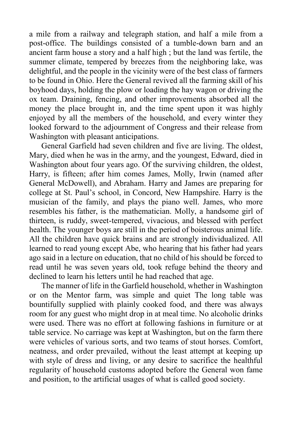a mile from a railway and telegraph station, and half a mile from a post-office. The buildings consisted of a tumble-down barn and an ancient farm house a story and a half high ; but the land was fertile, the summer climate, tempered by breezes from the neighboring lake, was delightful, and the people in the vicinity were of the best class of farmers to be found in Ohio. Here the General revived all the farming skill of his boyhood days, holding the plow or loading the hay wagon or driving the ox team. Draining, fencing, and other improvements absorbed all the money the place brought in, and the time spent upon it was highly enjoyed by all the members of the household, and every winter they looked forward to the adjournment of Congress and their release from Washington with pleasant anticipations.

General Garfield had seven children and five are living. The oldest, Mary, died when he was in the army, and the youngest, Edward, died in Washington about four years ago. Of the surviving children, the oldest, Harry, is fifteen; after him comes James, Molly, Irwin (named after General McDowell), and Abraham. Harry and James are preparing for college at St. Paul's school, in Concord, New Hampshire. Harry is the musician of the family, and plays the piano well. James, who more resembles his father, is the mathematician. Molly, a handsome girl of thirteen, is ruddy, sweet-tempered, vivacious, and blessed with perfect health. The younger boys are still in the period of boisterous animal life. All the children have quick brains and are strongly individualized. All learned to read young except Abe, who hearing that his father had years ago said in a lecture on education, that no child of his should be forced to read until he was seven years old, took refuge behind the theory and declined to learn his letters until he had reached that age.

The manner of life in the Garfield household, whether in Washington or on the Mentor farm, was simple and quiet The long table was bountifully supplied with plainly cooked food, and there was always room for any guest who might drop in at meal time. No alcoholic drinks were used. There was no effort at following fashions in furniture or at table service. No carriage was kept at Washington, but on the farm there were vehicles of various sorts, and two teams of stout horses. Comfort, neatness, and order prevailed, without the least attempt at keeping up with style of dress and living, or any desire to sacrifice the healthful regularity of household customs adopted before the General won fame and position, to the artificial usages of what is called good society.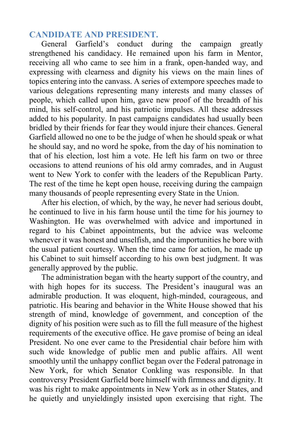## **CANDIDATE AND PRESIDENT.**

General Garfield's conduct during the campaign greatly strengthened his candidacy. He remained upon his farm in Mentor, receiving all who came to see him in a frank, open-handed way, and expressing with clearness and dignity his views on the main lines of topics entering into the canvass. A series of extempore speeches made to various delegations representing many interests and many classes of people, which called upon him, gave new proof of the breadth of his mind, his self-control, and his patriotic impulses. All these addresses added to his popularity. In past campaigns candidates had usually been bridled by their friends for fear they would injure their chances. General Garfield allowed no one to be the judge of when he should speak or what he should say, and no word he spoke, from the day of his nomination to that of his election, lost him a vote. He left his farm on two or three occasions to attend reunions of his old army comrades, and in August went to New York to confer with the leaders of the Republican Party. The rest of the time he kept open house, receiving during the campaign many thousands of people representing every State in the Union.

After his election, of which, by the way, he never had serious doubt, he continued to live in his farm house until the time for his journey to Washington. He was overwhelmed with advice and importuned in regard to his Cabinet appointments, but the advice was welcome whenever it was honest and unselfish, and the importunities he bore with the usual patient courtesy. When the time came for action, he made up his Cabinet to suit himself according to his own best judgment. It was generally approved by the public.

The administration began with the hearty support of the country, and with high hopes for its success. The President's inaugural was an admirable production. It was eloquent, high-minded, courageous, and patriotic. His bearing and behavior in the White House showed that his strength of mind, knowledge of government, and conception of the dignity of his position were such as to fill the full measure of the highest requirements of the executive office. He gave promise of being an ideal President. No one ever came to the Presidential chair before him with such wide knowledge of public men and public affairs. All went smoothly until the unhappy conflict began over the Federal patronage in New York, for which Senator Conkling was responsible. In that controversy President Garfield bore himself with firmness and dignity. It was his right to make appointments in New York as in other States, and he quietly and unyieldingly insisted upon exercising that right. The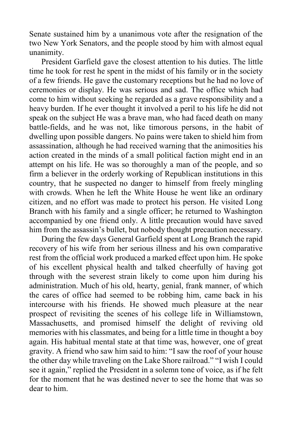Senate sustained him by a unanimous vote after the resignation of the two New York Senators, and the people stood by him with almost equal unanimity.

President Garfield gave the closest attention to his duties. The little time he took for rest he spent in the midst of his family or in the society of a few friends. He gave the customary receptions but he had no love of ceremonies or display. He was serious and sad. The office which had come to him without seeking he regarded as a grave responsibility and a heavy burden. If he ever thought it involved a peril to his life he did not speak on the subject He was a brave man, who had faced death on many battle-fields, and he was not, like timorous persons, in the habit of dwelling upon possible dangers. No pains were taken to shield him from assassination, although he had received warning that the animosities his action created in the minds of a small political faction might end in an attempt on his life. He was so thoroughly a man of the people, and so firm a believer in the orderly working of Republican institutions in this country, that he suspected no danger to himself from freely mingling with crowds. When he left the White House he went like an ordinary citizen, and no effort was made to protect his person. He visited Long Branch with his family and a single officer; he returned to Washington accompanied by one friend only. A little precaution would have saved him from the assassin's bullet, but nobody thought precaution necessary.

During the few days General Garfield spent at Long Branch the rapid recovery of his wife from her serious illness and his own comparative rest from the official work produced a marked effect upon him. He spoke of his excellent physical health and talked cheerfully of having got through with the severest strain likely to come upon him during his administration. Much of his old, hearty, genial, frank manner, of which the cares of office had seemed to be robbing him, came back in his intercourse with his friends. He showed much pleasure at the near prospect of revisiting the scenes of his college life in Williamstown, Massachusetts, and promised himself the delight of reviving old memories with his classmates, and being for a little time in thought a boy again. His habitual mental state at that time was, however, one of great gravity. A friend who saw him said to him: "I saw the roof of your house the other day while traveling on the Lake Shore railroad." "I wish I could see it again," replied the President in a solemn tone of voice, as if he felt for the moment that he was destined never to see the home that was so dear to him.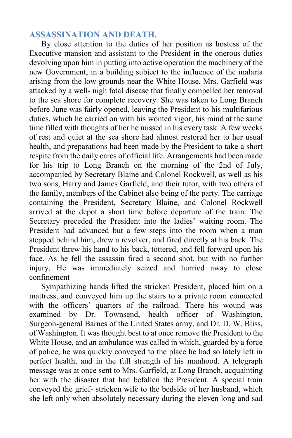## **ASSASSINATION AND DEATH.**

By close attention to the duties of her position as hostess of the Executive mansion and assistant to the President in the onerous duties devolving upon him in putting into active operation the machinery of the new Government, in a building subject to the influence of the malaria arising from the low grounds near the White House, Mrs. Garfield was attacked by a well- nigh fatal disease that finally compelled her removal to the sea shore for complete recovery. She was taken to Long Branch before June was fairly opened, leaving the President to his multifarious duties, which he carried on with his wonted vigor, his mind at the same time filled with thoughts of her he missed in his every task. A few weeks of rest and quiet at the sea shore had almost restored her to her usual health, and preparations had been made by the President to take a short respite from the daily cares of official life. Arrangements had been made for his trip to Long Branch on the morning of the 2nd of July, accompanied by Secretary Blaine and Colonel Rockwell, as well as his two sons, Harry and James Garfield, and their tutor, with two others of the family, members of the Cabinet also being of the party. The carriage containing the President, Secretary Blaine, and Colonel Rockwell arrived at the depot a short time before departure of the train. The Secretary preceded the President into the ladies' waiting room. The President had advanced but a few steps into the room when a man stepped behind him, drew a revolver, and fired directly at his back. The President threw his hand to his back, tottered, and fell forward upon his face. As he fell the assassin fired a second shot, but with no further injury. He was immediately seized and hurried away to close confinement

Sympathizing hands lifted the stricken President, placed him on a mattress, and conveyed him up the stairs to a private room connected with the officers' quarters of the railroad. There his wound was examined by Dr. Townsend, health officer of Washington, Surgeon-general Barnes of the United States army, and Dr. D. W. Bliss, of Washington. It was thought best to at once remove the President to the White House, and an ambulance was called in which, guarded by a force of police, he was quickly conveyed to the place he had so lately left in perfect health, and in the full strength of his manhood. A telegraph message was at once sent to Mrs. Garfield, at Long Branch, acquainting her with the disaster that had befallen the President. A special train conveyed the grief- stricken wife to the bedside of her husband, which she left only when absolutely necessary during the eleven long and sad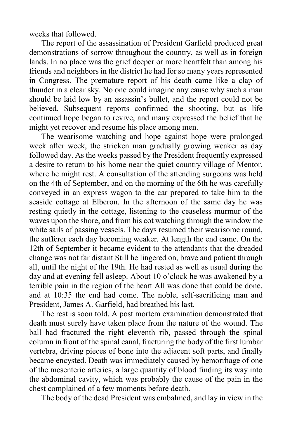weeks that followed.

The report of the assassination of President Garfield produced great demonstrations of sorrow throughout the country, as well as in foreign lands. In no place was the grief deeper or more heartfelt than among his friends and neighbors in the district he had for so many years represented in Congress. The premature report of his death came like a clap of thunder in a clear sky. No one could imagine any cause why such a man should be laid low by an assassin's bullet, and the report could not be believed. Subsequent reports confirmed the shooting, but as life continued hope began to revive, and many expressed the belief that he might yet recover and resume his place among men.

The wearisome watching and hope against hope were prolonged week after week, the stricken man gradually growing weaker as day followed day. As the weeks passed by the President frequently expressed a desire to return to his home near the quiet country village of Mentor, where he might rest. A consultation of the attending surgeons was held on the 4th of September, and on the morning of the 6th he was carefully conveyed in an express wagon to the car prepared to take him to the seaside cottage at Elberon. In the afternoon of the same day he was resting quietly in the cottage, listening to the ceaseless murmur of the waves upon the shore, and from his cot watching through the window the white sails of passing vessels. The days resumed their wearisome round, the sufferer each day becoming weaker. At length the end came. On the 12th of September it became evident to the attendants that the dreaded change was not far distant Still he lingered on, brave and patient through all, until the night of the 19th. He had rested as well as usual during the day and at evening fell asleep. About 10 o'clock he was awakened by a terrible pain in the region of the heart All was done that could be done, and at 10:35 the end had come. The noble, self-sacrificing man and President, James A. Garfield, had breathed his last.

The rest is soon told. A post mortem examination demonstrated that death must surely have taken place from the nature of the wound. The ball had fractured the right eleventh rib, passed through the spinal column in front of the spinal canal, fracturing the body of the first lumbar vertebra, driving pieces of bone into the adjacent soft parts, and finally became encysted. Death was immediately caused by hemorrhage of one of the mesenteric arteries, a large quantity of blood finding its way into the abdominal cavity, which was probably the cause of the pain in the chest complained of a few moments before death.

The body of the dead President was embalmed, and lay in view in the